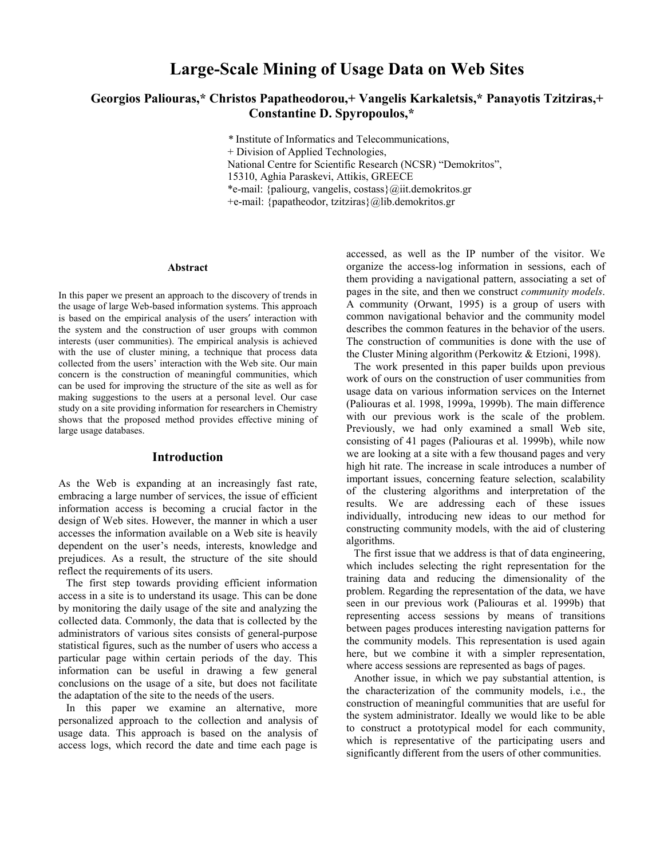# **Large-Scale Mining of Usage Data on Web Sites**

# **Georgios Paliouras,\* Christos Papatheodorou,+ Vangelis Karkaletsis,\* Panayotis Tzitziras,+ Constantine D. Spyropoulos,\***

*\** Institute of Informatics and Telecommunications, + Division of Applied Technologies, National Centre for Scientific Research (NCSR) "Demokritos", 15310, Aghia Paraskevi, Attikis, GREECE \*e-mail: {paliourg, vangelis, costass}@iit.demokritos.gr +e-mail: {papatheodor, tzitziras}@lib.demokritos.gr

#### **Abstract**

In this paper we present an approach to the discovery of trends in the usage of large Web-based information systems. This approach is based on the empirical analysis of the users′ interaction with the system and the construction of user groups with common interests (user communities). The empirical analysis is achieved with the use of cluster mining, a technique that process data collected from the users' interaction with the Web site. Our main concern is the construction of meaningful communities, which can be used for improving the structure of the site as well as for making suggestions to the users at a personal level. Our case study on a site providing information for researchers in Chemistry shows that the proposed method provides effective mining of large usage databases.

# **Introduction**

As the Web is expanding at an increasingly fast rate, embracing a large number of services, the issue of efficient information access is becoming a crucial factor in the design of Web sites. However, the manner in which a user accesses the information available on a Web site is heavily dependent on the user's needs, interests, knowledge and prejudices. As a result, the structure of the site should reflect the requirements of its users.

The first step towards providing efficient information access in a site is to understand its usage. This can be done by monitoring the daily usage of the site and analyzing the collected data. Commonly, the data that is collected by the administrators of various sites consists of general-purpose statistical figures, such as the number of users who access a particular page within certain periods of the day. This information can be useful in drawing a few general conclusions on the usage of a site, but does not facilitate the adaptation of the site to the needs of the users.

In this paper we examine an alternative, more personalized approach to the collection and analysis of usage data. This approach is based on the analysis of access logs, which record the date and time each page is accessed, as well as the IP number of the visitor. We organize the access-log information in sessions, each of them providing a navigational pattern, associating a set of pages in the site, and then we construct *community models*. A community (Orwant, 1995) is a group of users with common navigational behavior and the community model describes the common features in the behavior of the users. The construction of communities is done with the use of the Cluster Mining algorithm (Perkowitz & Etzioni, 1998).

The work presented in this paper builds upon previous work of ours on the construction of user communities from usage data on various information services on the Internet (Paliouras et al. 1998, 1999a, 1999b). The main difference with our previous work is the scale of the problem. Previously, we had only examined a small Web site, consisting of 41 pages (Paliouras et al. 1999b), while now we are looking at a site with a few thousand pages and very high hit rate. The increase in scale introduces a number of important issues, concerning feature selection, scalability of the clustering algorithms and interpretation of the results. We are addressing each of these issues individually, introducing new ideas to our method for constructing community models, with the aid of clustering algorithms.

The first issue that we address is that of data engineering, which includes selecting the right representation for the training data and reducing the dimensionality of the problem. Regarding the representation of the data, we have seen in our previous work (Paliouras et al. 1999b) that representing access sessions by means of transitions between pages produces interesting navigation patterns for the community models. This representation is used again here, but we combine it with a simpler representation, where access sessions are represented as bags of pages.

Another issue, in which we pay substantial attention, is the characterization of the community models, i.e., the construction of meaningful communities that are useful for the system administrator. Ideally we would like to be able to construct a prototypical model for each community, which is representative of the participating users and significantly different from the users of other communities.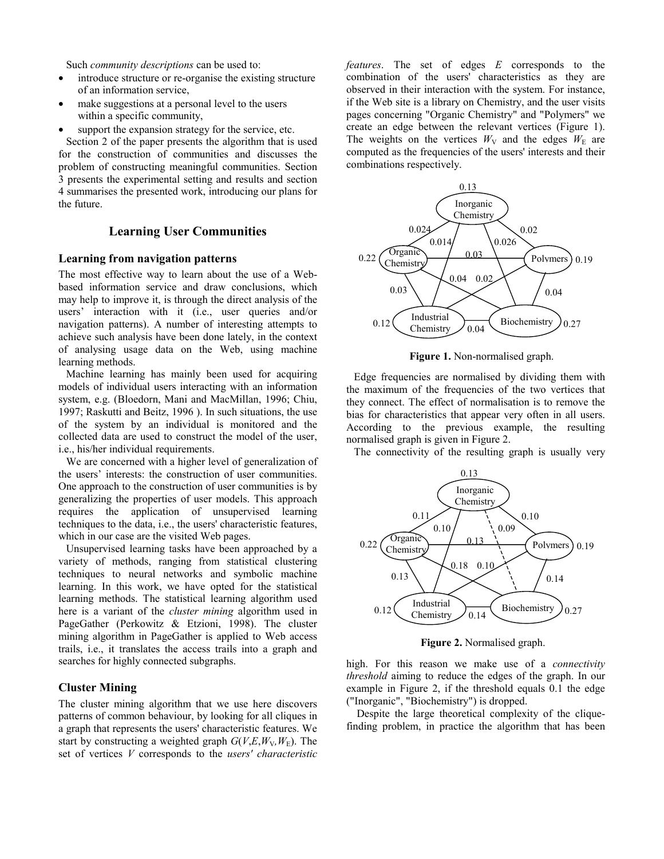Such *community descriptions* can be used to:

- introduce structure or re-organise the existing structure of an information service,
- make suggestions at a personal level to the users within a specific community,
- support the expansion strategy for the service, etc.

Section 2 of the paper presents the algorithm that is used for the construction of communities and discusses the problem of constructing meaningful communities. Section 3 presents the experimental setting and results and section 4 summarises the presented work, introducing our plans for the future.

#### **Learning User Communities**

#### **Learning from navigation patterns**

The most effective way to learn about the use of a Webbased information service and draw conclusions, which may help to improve it, is through the direct analysis of the users' interaction with it (i.e., user queries and/or navigation patterns). A number of interesting attempts to achieve such analysis have been done lately, in the context of analysing usage data on the Web, using machine learning methods.

Machine learning has mainly been used for acquiring models of individual users interacting with an information system, e.g. (Bloedorn, Mani and MacMillan, 1996; Chiu, 1997; Raskutti and Beitz, 1996 ). In such situations, the use of the system by an individual is monitored and the collected data are used to construct the model of the user, i.e., his/her individual requirements.

We are concerned with a higher level of generalization of the users' interests: the construction of user communities. One approach to the construction of user communities is by generalizing the properties of user models. This approach requires the application of unsupervised learning techniques to the data, i.e., the users' characteristic features, which in our case are the visited Web pages.

Unsupervised learning tasks have been approached by a variety of methods, ranging from statistical clustering techniques to neural networks and symbolic machine learning. In this work, we have opted for the statistical learning methods. The statistical learning algorithm used here is a variant of the *cluster mining* algorithm used in PageGather (Perkowitz & Etzioni, 1998). The cluster mining algorithm in PageGather is applied to Web access trails, i.e., it translates the access trails into a graph and searches for highly connected subgraphs.

# **Cluster Mining**

The cluster mining algorithm that we use here discovers patterns of common behaviour, by looking for all cliques in a graph that represents the users' characteristic features. We start by constructing a weighted graph  $G(V,E,W_v,W_F)$ . The set of vertices *V* corresponds to the *users' characteristic* 

*features*. The set of edges *E* corresponds to the combination of the users' characteristics as they are observed in their interaction with the system. For instance, if the Web site is a library on Chemistry, and the user visits pages concerning "Organic Chemistry" and "Polymers" we create an edge between the relevant vertices (Figure 1). The weights on the vertices  $W_V$  and the edges  $W_E$  are computed as the frequencies of the users' interests and their combinations respectively.



**Figure 1.** Non-normalised graph.

Edge frequencies are normalised by dividing them with the maximum of the frequencies of the two vertices that they connect. The effect of normalisation is to remove the bias for characteristics that appear very often in all users. According to the previous example, the resulting normalised graph is given in Figure 2.

The connectivity of the resulting graph is usually very



**Figure 2.** Normalised graph.

high. For this reason we make use of a *connectivity threshold* aiming to reduce the edges of the graph. In our example in Figure 2, if the threshold equals 0.1 the edge ("Inorganic", "Biochemistry") is dropped.

 Despite the large theoretical complexity of the cliquefinding problem, in practice the algorithm that has been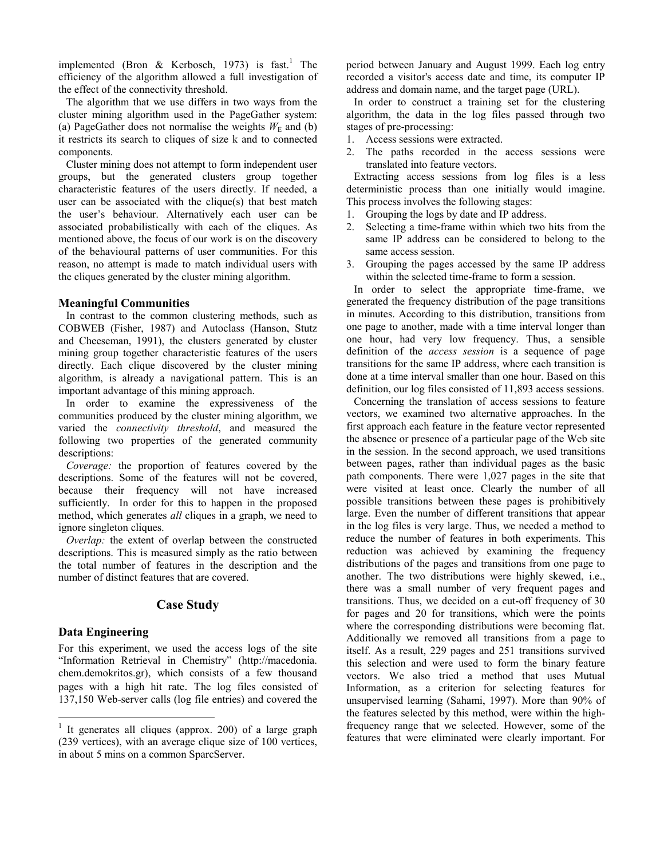implemented (Bron & Kerbosch, 1973) is fast.<sup>1</sup> The efficiency of the algorithm allowed a full investigation of the effect of the connectivity threshold.

The algorithm that we use differs in two ways from the cluster mining algorithm used in the PageGather system: (a) PageGather does not normalise the weights  $W<sub>E</sub>$  and (b) it restricts its search to cliques of size k and to connected components.

Cluster mining does not attempt to form independent user groups, but the generated clusters group together characteristic features of the users directly. If needed, a user can be associated with the clique(s) that best match the user's behaviour. Alternatively each user can be associated probabilistically with each of the cliques. As mentioned above, the focus of our work is on the discovery of the behavioural patterns of user communities. For this reason, no attempt is made to match individual users with the cliques generated by the cluster mining algorithm.

#### **Meaningful Communities**

In contrast to the common clustering methods, such as COBWEB (Fisher, 1987) and Autoclass (Hanson, Stutz and Cheeseman, 1991), the clusters generated by cluster mining group together characteristic features of the users directly. Each clique discovered by the cluster mining algorithm, is already a navigational pattern. This is an important advantage of this mining approach.

In order to examine the expressiveness of the communities produced by the cluster mining algorithm, we varied the *connectivity threshold*, and measured the following two properties of the generated community descriptions:

*Coverage:* the proportion of features covered by the descriptions. Some of the features will not be covered, because their frequency will not have increased sufficiently. In order for this to happen in the proposed method, which generates *all* cliques in a graph, we need to ignore singleton cliques.

*Overlap:* the extent of overlap between the constructed descriptions. This is measured simply as the ratio between the total number of features in the description and the number of distinct features that are covered.

# **Case Study**

# **Data Engineering**

l

For this experiment, we used the access logs of the site "Information Retrieval in Chemistry" (http://macedonia. chem.demokritos.gr), which consists of a few thousand pages with a high hit rate. The log files consisted of 137,150 Web-server calls (log file entries) and covered the period between January and August 1999. Each log entry recorded a visitor's access date and time, its computer IP address and domain name, and the target page (URL).

In order to construct a training set for the clustering algorithm, the data in the log files passed through two stages of pre-processing:

- 1. Access sessions were extracted.
- 2. The paths recorded in the access sessions were translated into feature vectors.

Extracting access sessions from log files is a less deterministic process than one initially would imagine. This process involves the following stages:

- 1. Grouping the logs by date and IP address.
- 2. Selecting a time-frame within which two hits from the same IP address can be considered to belong to the same access session.
- 3. Grouping the pages accessed by the same IP address within the selected time-frame to form a session.

In order to select the appropriate time-frame, we generated the frequency distribution of the page transitions in minutes. According to this distribution, transitions from one page to another, made with a time interval longer than one hour, had very low frequency. Thus, a sensible definition of the *access session* is a sequence of page transitions for the same IP address, where each transition is done at a time interval smaller than one hour. Based on this definition, our log files consisted of 11,893 access sessions.

Concerning the translation of access sessions to feature vectors, we examined two alternative approaches. In the first approach each feature in the feature vector represented the absence or presence of a particular page of the Web site in the session. In the second approach, we used transitions between pages, rather than individual pages as the basic path components. There were 1,027 pages in the site that were visited at least once. Clearly the number of all possible transitions between these pages is prohibitively large. Even the number of different transitions that appear in the log files is very large. Thus, we needed a method to reduce the number of features in both experiments. This reduction was achieved by examining the frequency distributions of the pages and transitions from one page to another. The two distributions were highly skewed, i.e., there was a small number of very frequent pages and transitions. Thus, we decided on a cut-off frequency of 30 for pages and 20 for transitions, which were the points where the corresponding distributions were becoming flat. Additionally we removed all transitions from a page to itself. As a result, 229 pages and 251 transitions survived this selection and were used to form the binary feature vectors. We also tried a method that uses Mutual Information, as a criterion for selecting features for unsupervised learning (Sahami, 1997). More than 90% of the features selected by this method, were within the highfrequency range that we selected. However, some of the features that were eliminated were clearly important. For

<sup>&</sup>lt;sup>1</sup> It generates all cliques (approx. 200) of a large graph (239 vertices), with an average clique size of 100 vertices, in about 5 mins on a common SparcServer.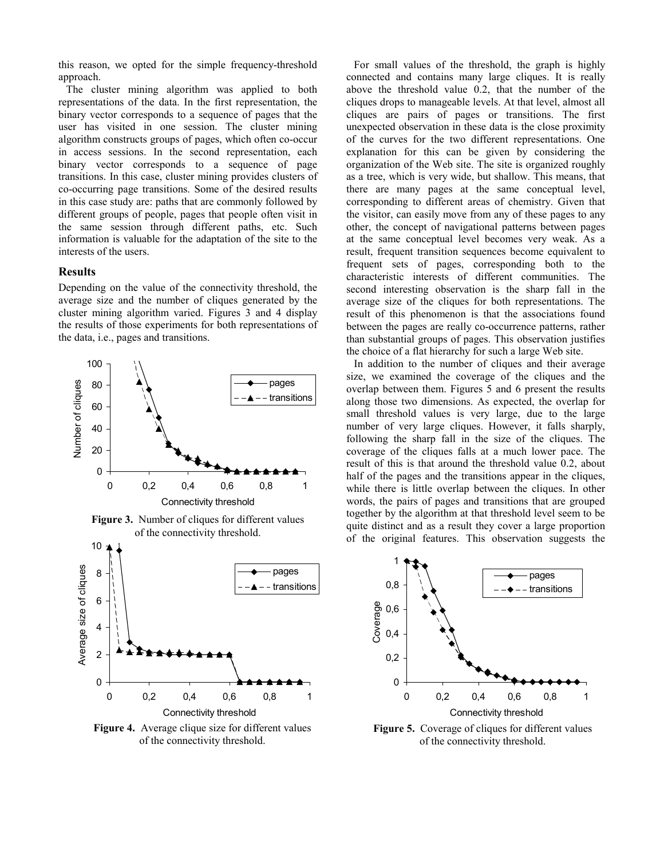this reason, we opted for the simple frequency-threshold approach.

The cluster mining algorithm was applied to both representations of the data. In the first representation, the binary vector corresponds to a sequence of pages that the user has visited in one session. The cluster mining algorithm constructs groups of pages, which often co-occur in access sessions. In the second representation, each binary vector corresponds to a sequence of page transitions. In this case, cluster mining provides clusters of co-occurring page transitions. Some of the desired results in this case study are: paths that are commonly followed by different groups of people, pages that people often visit in the same session through different paths, etc. Such information is valuable for the adaptation of the site to the interests of the users.

#### **Results**

Depending on the value of the connectivity threshold, the average size and the number of cliques generated by the cluster mining algorithm varied. Figures 3 and 4 display the results of those experiments for both representations of the data, i.e., pages and transitions.



Figure 3. Number of cliques for different values of the connectivity threshold.



**Figure 4.** Average clique size for different values of the connectivity threshold.

For small values of the threshold, the graph is highly connected and contains many large cliques. It is really above the threshold value 0.2, that the number of the cliques drops to manageable levels. At that level, almost all cliques are pairs of pages or transitions. The first unexpected observation in these data is the close proximity of the curves for the two different representations. One explanation for this can be given by considering the organization of the Web site. The site is organized roughly as a tree, which is very wide, but shallow. This means, that there are many pages at the same conceptual level, corresponding to different areas of chemistry. Given that the visitor, can easily move from any of these pages to any other, the concept of navigational patterns between pages at the same conceptual level becomes very weak. As a result, frequent transition sequences become equivalent to frequent sets of pages, corresponding both to the characteristic interests of different communities. The second interesting observation is the sharp fall in the average size of the cliques for both representations. The result of this phenomenon is that the associations found between the pages are really co-occurrence patterns, rather than substantial groups of pages. This observation justifies the choice of a flat hierarchy for such a large Web site.

In addition to the number of cliques and their average size, we examined the coverage of the cliques and the overlap between them. Figures 5 and 6 present the results along those two dimensions. As expected, the overlap for small threshold values is very large, due to the large number of very large cliques. However, it falls sharply, following the sharp fall in the size of the cliques. The coverage of the cliques falls at a much lower pace. The result of this is that around the threshold value 0.2, about half of the pages and the transitions appear in the cliques, while there is little overlap between the cliques. In other words, the pairs of pages and transitions that are grouped together by the algorithm at that threshold level seem to be quite distinct and as a result they cover a large proportion of the original features. This observation suggests the



**Figure 5.** Coverage of cliques for different values of the connectivity threshold.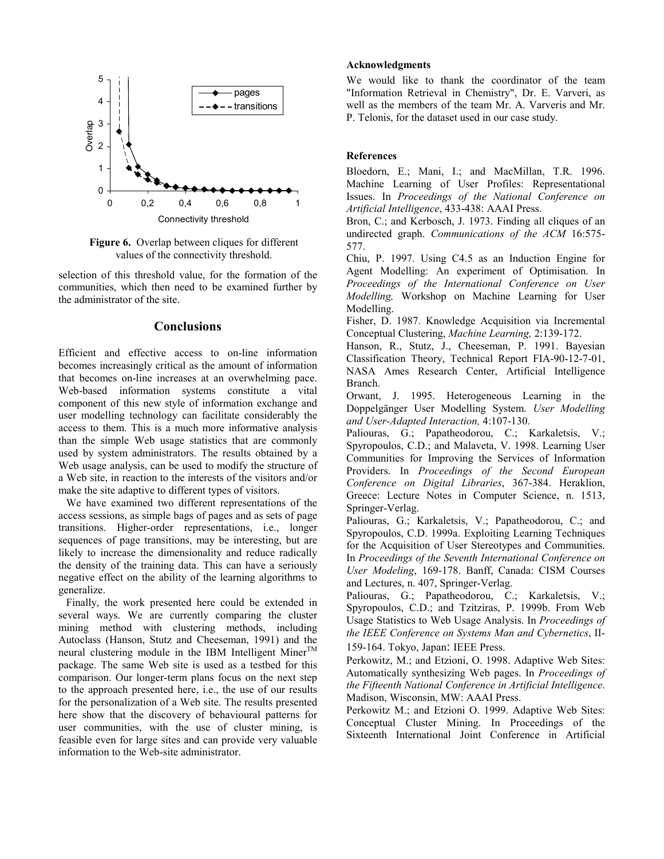

**Figure 6.** Overlap between cliques for different values of the connectivity threshold.

selection of this threshold value, for the formation of the communities, which then need to be examined further by the administrator of the site.

#### **Conclusions**

Efficient and effective access to on-line information becomes increasingly critical as the amount of information that becomes on-line increases at an overwhelming pace. Web-based information systems constitute a vital component of this new style of information exchange and user modelling technology can facilitate considerably the access to them. This is a much more informative analysis than the simple Web usage statistics that are commonly used by system administrators. The results obtained by a Web usage analysis, can be used to modify the structure of a Web site, in reaction to the interests of the visitors and/or make the site adaptive to different types of visitors.

We have examined two different representations of the access sessions, as simple bags of pages and as sets of page transitions. Higher-order representations, i.e., longer sequences of page transitions, may be interesting, but are likely to increase the dimensionality and reduce radically the density of the training data. This can have a seriously negative effect on the ability of the learning algorithms to generalize.

Finally, the work presented here could be extended in several ways. We are currently comparing the cluster mining method with clustering methods, including Autoclass (Hanson, Stutz and Cheeseman, 1991) and the neural clustering module in the IBM Intelligent  $M$ iner<sup>TM</sup> package. The same Web site is used as a testbed for this comparison. Our longer-term plans focus on the next step to the approach presented here, i.e., the use of our results for the personalization of a Web site. The results presented here show that the discovery of behavioural patterns for user communities, with the use of cluster mining, is feasible even for large sites and can provide very valuable information to the Web-site administrator.

#### **Acknowledgments**

We would like to thank the coordinator of the team "Information Retrieval in Chemistry", Dr. E. Varveri, as well as the members of the team Mr. A. Varveris and Mr. P. Telonis, for the dataset used in our case study.

#### **References**

Bloedorn, E.; Mani, I.; and MacMillan, T.R. 1996. Machine Learning of User Profiles: Representational Issues. In *Proceedings of the National Conference on Artificial Intelligence*, 433-438: AAAI Press.

Bron, C.; and Kerbosch, J. 1973. Finding all cliques of an undirected graph. *Communications of the ACM* 16:575- 577.

Chiu, P. 1997. Using C4.5 as an Induction Engine for Agent Modelling: An experiment of Optimisation. In *Proceedings of the International Conference on User Modelling,* Workshop on Machine Learning for User Modelling.

Fisher, D. 1987. Knowledge Acquisition via Incremental Conceptual Clustering, *Machine Learning,* 2:139-172.

Hanson, R., Stutz, J., Cheeseman, P. 1991. Bayesian Classification Theory, Technical Report FIA-90-12-7-01, NASA Ames Research Center, Artificial Intelligence Branch.

Orwant, J. 1995. Heterogeneous Learning in the Doppelgänger User Modelling System. *User Modelling and User-Adapted Interaction,* 4:107-130.

Paliouras, G.; Papatheodorou, C.; Karkaletsis, V.; Spyropoulos, C.D.; and Malaveta, V. 1998. Learning User Communities for Improving the Services of Information Providers. In *Proceedings of the Second European Conference on Digital Libraries*, 367-384. Heraklion, Greece: Lecture Notes in Computer Science, n. 1513, Springer-Verlag.

Paliouras, G.; Karkaletsis, V.; Papatheodorou, C.; and Spyropoulos, C.D. 1999a. Exploiting Learning Techniques for the Acquisition of User Stereotypes and Communities. In *Proceedings of the Seventh International Conference on User Modeling*, 169-178. Banff, Canada: CISM Courses and Lectures, n. 407, Springer-Verlag.

Paliouras, G.; Papatheodorou, C.; Karkaletsis, V.; Spyropoulos, C.D.; and Tzitziras, P. 1999b. From Web Usage Statistics to Web Usage Analysis. In *Proceedings of the IEEE Conference on Systems Man and Cybernetics*, II-159-164. Tokyo, Japan: IEEE Press.

Perkowitz, M.; and Etzioni, O. 1998. Adaptive Web Sites: Automatically synthesizing Web pages. In *Proceedings of the Fifteenth National Conference in Artificial Intelligence*. Madison, Wisconsin, MW: AAAI Press.

Perkowitz M.; and Etzioni O. 1999. Adaptive Web Sites: Conceptual Cluster Mining. In Proceedings of the Sixteenth International Joint Conference in Artificial